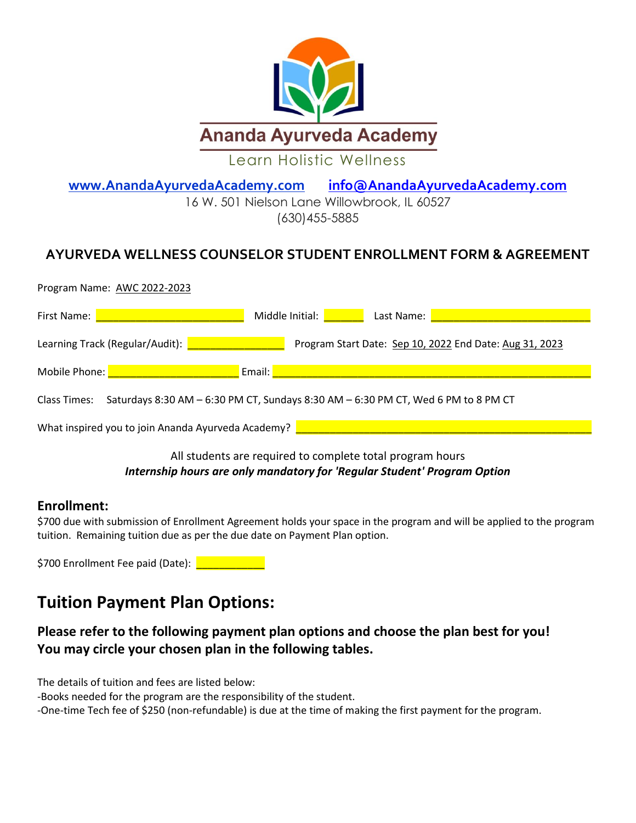

**[www.AnandaAyurvedaAcademy.](http://www.anandaayurvedaacademy/)com [info@AnandaAyurvedaAcademy.com](mailto:info@AnandaAyurvedaAcademy.com)** 

16 W. 501 Nielson Lane Willowbrook, IL 60527 [\(630\)455-5885](https://www.google.com/search?rlz=1C1SQJL_enUS785US785&ei=DsMdW8jfL4ja0gLk5b7QCA&q=soderworld&oq=soder+world&gs_l=psy-ab.1.0.0i10k1l10.122522.127470.0.129394.38.18.0.0.0.0.335.2572.0j5j3j3.12.0..2..0...1.1.64.psy-ab..27.11.2651.6..0j35i39k1j0i131k1j0i67k1j0i20i263k1j0i20i264k1j0i131i20i264k1j0i131i67k1j0i22i10i30k1j0i22i30k1.233.CIpQ1J2VhxY)

## **AYURVEDA WELLNESS COUNSELOR STUDENT ENROLLMENT FORM & AGREEMENT**

| Program Name: AWC 2022-2023                        |                                                                                   |
|----------------------------------------------------|-----------------------------------------------------------------------------------|
| First Name:                                        | Middle Initial:<br>Last Name:                                                     |
| Learning Track (Regular/Audit):                    | Program Start Date: Sep 10, 2022 End Date: Aug 31, 2023                           |
| Mobile Phone:                                      | Email:                                                                            |
| Class Times:                                       | Saturdays 8:30 AM - 6:30 PM CT, Sundays 8:30 AM - 6:30 PM CT, Wed 6 PM to 8 PM CT |
| What inspired you to join Ananda Ayurveda Academy? |                                                                                   |

### All students are required to complete total program hours *Internship hours are only mandatory for 'Regular Student' Program Option*

#### **Enrollment:**

\$700 due with submission of Enrollment Agreement holds your space in the program and will be applied to the program tuition. Remaining tuition due as per the due date on Payment Plan option.

\$700 Enrollment Fee paid (Date): **Letter Leave Engineer** 

## **Tuition Payment Plan Options:**

## **Please refer to the following payment plan options and choose the plan best for you! You may circle your chosen plan in the following tables.**

The details of tuition and fees are listed below:

-Books needed for the program are the responsibility of the student.

-One-time Tech fee of \$250 (non-refundable) is due at the time of making the first payment for the program.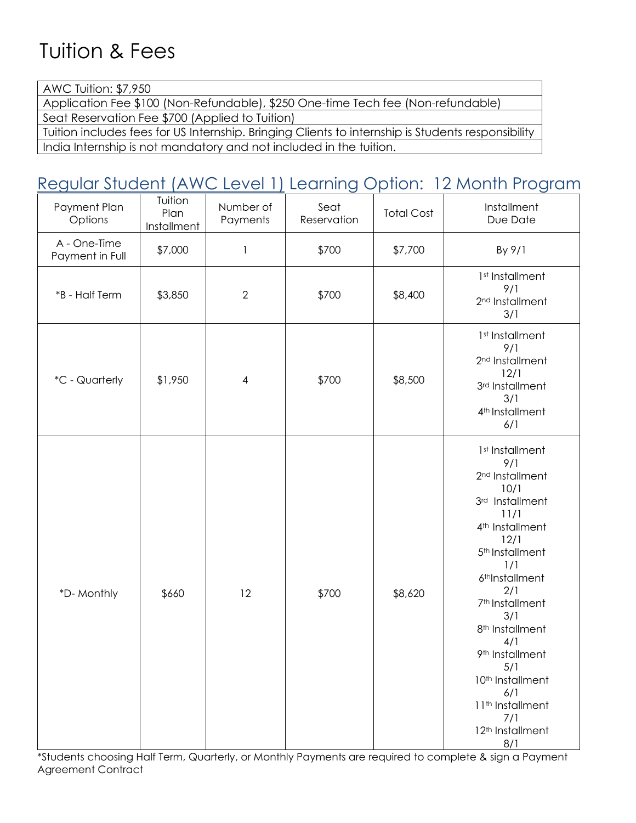# Tuition & Fees

AWC Tuition: \$7,950 Application Fee \$100 (Non-Refundable), \$250 One-time Tech fee (Non-refundable)

Seat Reservation Fee \$700 (Applied to Tuition)

Tuition includes fees for US Internship. Bringing Clients to internship is Students responsibility India Internship is not mandatory and not included in the tuition.

# Regular Student (AWC Level 1) Learning Option: 12 Month Program

| Payment Plan<br>Options         | Tuition<br>Plan<br>Installment | Number of<br>Payments | Seat<br>Reservation | <b>Total Cost</b> | Installment<br>Due Date                                                                                                                                                                                                                                                                                                                                                                                                                            |
|---------------------------------|--------------------------------|-----------------------|---------------------|-------------------|----------------------------------------------------------------------------------------------------------------------------------------------------------------------------------------------------------------------------------------------------------------------------------------------------------------------------------------------------------------------------------------------------------------------------------------------------|
| A - One-Time<br>Payment in Full | \$7,000                        | $\mathbf{1}$          | \$700               | \$7,700           | By 9/1                                                                                                                                                                                                                                                                                                                                                                                                                                             |
| *B - Half Term                  | \$3,850                        | $\mathbf{2}$          | \$700               | \$8,400           | 1st Installment<br>9/1<br>2 <sup>nd</sup> Installment<br>3/1                                                                                                                                                                                                                                                                                                                                                                                       |
| *C - Quarterly                  | \$1,950                        | $\overline{4}$        | \$700               | \$8,500           | 1st Installment<br>9/1<br>2 <sup>nd</sup> Installment<br>12/1<br>3rd Installment<br>3/1<br>4 <sup>th</sup> Installment<br>6/1                                                                                                                                                                                                                                                                                                                      |
| *D-Monthly                      | \$660                          | 12                    | \$700               | \$8,620           | 1st Installment<br>9/1<br>2 <sup>nd</sup> Installment<br>10/1<br>3rd Installment<br>11/1<br>4 <sup>th</sup> Installment<br>12/1<br>5 <sup>th</sup> Installment<br>1/1<br>6 <sup>th</sup> Installment<br>2/1<br>7 <sup>th</sup> Installment<br>3/1<br>8 <sup>th</sup> Installment<br>4/1<br>9 <sup>th</sup> Installment<br>5/1<br>10 <sup>th</sup> Installment<br>6/1<br>11 <sup>th</sup> Installment<br>7/1<br>12 <sup>th</sup> Installment<br>8/1 |

\*Students choosing Half Term, Quarterly, or Monthly Payments are required to complete & sign a Payment Agreement Contract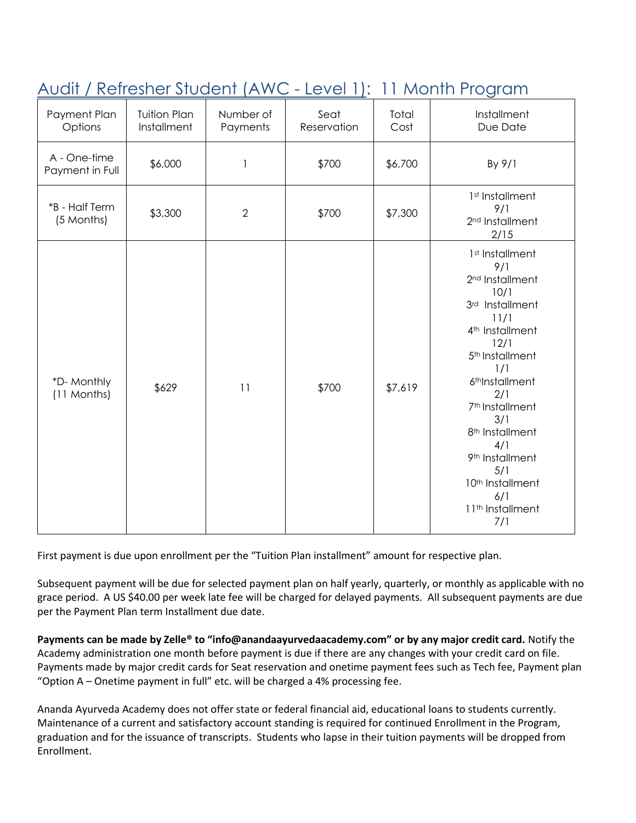| Payment Plan<br>Options         | <b>Tuition Plan</b><br>Installment | Number of<br>Payments | Seat<br>Reservation | Total<br>Cost | Installment<br>Due Date                                                                                                                                                                                                                                                                                                                                                                                     |
|---------------------------------|------------------------------------|-----------------------|---------------------|---------------|-------------------------------------------------------------------------------------------------------------------------------------------------------------------------------------------------------------------------------------------------------------------------------------------------------------------------------------------------------------------------------------------------------------|
| A - One-time<br>Payment in Full | \$6,000                            | 1                     | \$700               | \$6,700       | By 9/1                                                                                                                                                                                                                                                                                                                                                                                                      |
| *B - Half Term<br>(5 Months)    | \$3,300                            | $\overline{2}$        | \$700               | \$7,300       | 1 <sup>st</sup> Installment<br>9/1<br>2 <sup>nd</sup> Installment<br>2/15                                                                                                                                                                                                                                                                                                                                   |
| *D-Monthly<br>(11 Months)       | \$629                              | 11                    | \$700               | \$7,619       | 1st Installment<br>9/1<br>2 <sup>nd</sup> Installment<br>10/1<br>3rd Installment<br>11/1<br>4 <sup>th</sup> Installment<br>12/1<br>5 <sup>th</sup> Installment<br>1/1<br>6 <sup>th</sup> Installment<br>2/1<br>7 <sup>th</sup> Installment<br>3/1<br>8 <sup>th</sup> Installment<br>4/1<br>9 <sup>th</sup> Installment<br>5/1<br>10 <sup>th</sup> Installment<br>6/1<br>11 <sup>th</sup> Installment<br>7/1 |

# Audit / Refresher Student (AWC - Level 1): 11 Month Program

First payment is due upon enrollment per the "Tuition Plan installment" amount for respective plan.

Subsequent payment will be due for selected payment plan on half yearly, quarterly, or monthly as applicable with no grace period. A US \$40.00 per week late fee will be charged for delayed payments. All subsequent payments are due per the Payment Plan term Installment due date.

**Payments can be made by Zelle® to "info@anandaayurvedaacademy.com" or by any major credit card.** Notify the Academy administration one month before payment is due if there are any changes with your credit card on file. Payments made by major credit cards for Seat reservation and onetime payment fees such as Tech fee, Payment plan "Option A – Onetime payment in full" etc. will be charged a 4% processing fee.

Ananda Ayurveda Academy does not offer state or federal financial aid, educational loans to students currently. Maintenance of a current and satisfactory account standing is required for continued Enrollment in the Program, graduation and for the issuance of transcripts. Students who lapse in their tuition payments will be dropped from Enrollment.